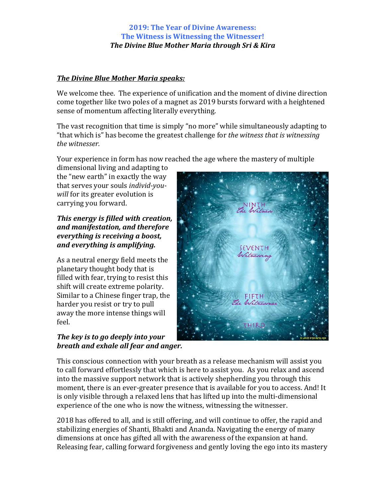#### **The Divine Blue Mother Maria speaks:**

We welcome thee. The experience of unification and the moment of divine direction come together like two poles of a magnet as 2019 bursts forward with a heightened sense of momentum affecting literally everything.

The vast recognition that time is simply "no more" while simultaneously adapting to "that which is" has become the greatest challenge for *the witness that is witnessing* the witnesser.

Your experience in form has now reached the age where the mastery of multiple

dimensional living and adapting to the "new earth" in exactly the way that serves your souls *individ-youwill* for its greater evolution is carrying you forward.

## *This energy is filled with creation, and manifestation, and therefore everything is receiving a boost, and everything is amplifying.*

As a neutral energy field meets the planetary thought body that is filled with fear, trying to resist this shift will create extreme polarity. Similar to a Chinese finger trap, the harder you resist or try to pull away the more intense things will feel.

## *The key is to go deeply into your breath and exhale all fear and anger.*



This conscious connection with your breath as a release mechanism will assist you to call forward effortlessly that which is here to assist you. As you relax and ascend into the massive support network that is actively shepherding you through this moment, there is an ever-greater presence that is available for you to access. And! It is only visible through a relaxed lens that has lifted up into the multi-dimensional experience of the one who is now the witness, witnessing the witnesser.

2018 has offered to all, and is still offering, and will continue to offer, the rapid and stabilizing energies of Shanti, Bhakti and Ananda. Navigating the energy of many dimensions at once has gifted all with the awareness of the expansion at hand. Releasing fear, calling forward forgiveness and gently loving the ego into its mastery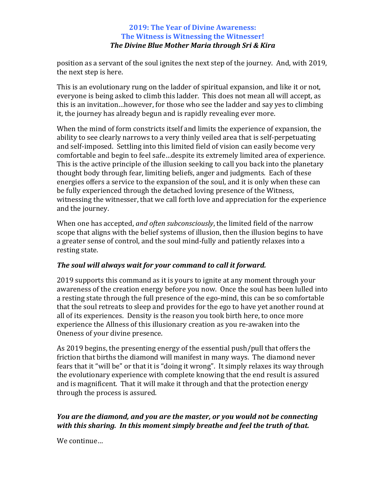position as a servant of the soul ignites the next step of the journey. And, with 2019, the next step is here.

This is an evolutionary rung on the ladder of spiritual expansion, and like it or not, everyone is being asked to climb this ladder. This does not mean all will accept, as this is an invitation...however, for those who see the ladder and say yes to climbing it, the journey has already begun and is rapidly revealing ever more.

When the mind of form constricts itself and limits the experience of expansion, the ability to see clearly narrows to a very thinly veiled area that is self-perpetuating and self-imposed. Settling into this limited field of vision can easily become very comfortable and begin to feel safe...despite its extremely limited area of experience. This is the active principle of the illusion seeking to call you back into the planetary thought body through fear, limiting beliefs, anger and judgments. Each of these energies offers a service to the expansion of the soul, and it is only when these can be fully experienced through the detached loving presence of the Witness, witnessing the witnesser, that we call forth love and appreciation for the experience and the journey.

When one has accepted, *and often subconsciously*, the limited field of the narrow scope that aligns with the belief systems of illusion, then the illusion begins to have a greater sense of control, and the soul mind-fully and patiently relaxes into a resting state.

# The soul will always wait for your command to call it forward.

2019 supports this command as it is yours to ignite at any moment through your awareness of the creation energy before you now. Once the soul has been lulled into a resting state through the full presence of the ego-mind, this can be so comfortable that the soul retreats to sleep and provides for the ego to have yet another round at all of its experiences. Density is the reason you took birth here, to once more experience the Allness of this illusionary creation as you re-awaken into the Oneness of your divine presence.

As 2019 begins, the presenting energy of the essential push/pull that offers the friction that births the diamond will manifest in many ways. The diamond never fears that it "will be" or that it is "doing it wrong". It simply relaxes its way through the evolutionary experience with complete knowing that the end result is assured and is magnificent. That it will make it through and that the protection energy through the process is assured.

# *You are the diamond, and you are the master, or you would not be connecting with this sharing. In this moment simply breathe and feel the truth of that.*

We continue...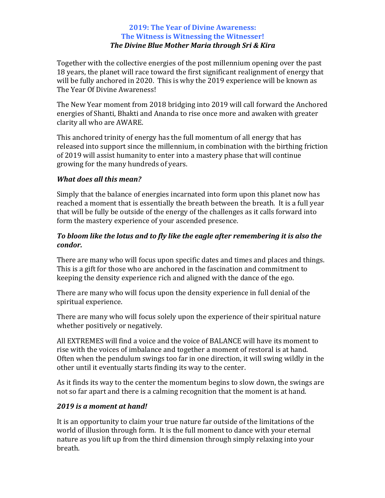Together with the collective energies of the post millennium opening over the past 18 years, the planet will race toward the first significant realignment of energy that will be fully anchored in 2020. This is why the 2019 experience will be known as The Year Of Divine Awareness!

The New Year moment from 2018 bridging into 2019 will call forward the Anchored energies of Shanti, Bhakti and Ananda to rise once more and awaken with greater clarity all who are AWARE.

This anchored trinity of energy has the full momentum of all energy that has released into support since the millennium, in combination with the birthing friction of 2019 will assist humanity to enter into a mastery phase that will continue growing for the many hundreds of years.

## *What does all this mean?*

Simply that the balance of energies incarnated into form upon this planet now has reached a moment that is essentially the breath between the breath. It is a full year that will be fully be outside of the energy of the challenges as it calls forward into form the mastery experience of your ascended presence.

## To bloom like the lotus and to fly like the eagle after remembering it is also the *condor.*

There are many who will focus upon specific dates and times and places and things. This is a gift for those who are anchored in the fascination and commitment to keeping the density experience rich and aligned with the dance of the ego.

There are many who will focus upon the density experience in full denial of the spiritual experience.

There are many who will focus solely upon the experience of their spiritual nature whether positively or negatively.

All EXTREMES will find a voice and the voice of BALANCE will have its moment to rise with the voices of imbalance and together a moment of restoral is at hand. Often when the pendulum swings too far in one direction, it will swing wildly in the other until it eventually starts finding its way to the center.

As it finds its way to the center the momentum begins to slow down, the swings are not so far apart and there is a calming recognition that the moment is at hand.

## 2019 is a moment at hand!

It is an opportunity to claim your true nature far outside of the limitations of the world of illusion through form. It is the full moment to dance with your eternal nature as you lift up from the third dimension through simply relaxing into your breath.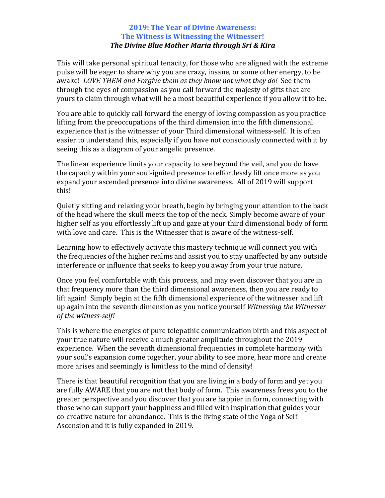This will take personal spiritual tenacity, for those who are aligned with the extreme pulse will be eager to share why you are crazy, insane, or some other energy, to be awake! *LOVE THEM and Forgive them as they know not what they do!* See them through the eyes of compassion as you call forward the majesty of gifts that are yours to claim through what will be a most beautiful experience if you allow it to be.

You are able to quickly call forward the energy of loving compassion as you practice lifting from the preoccupations of the third dimension into the fifth dimensional experience that is the witnesser of your Third dimensional witness-self. It is often easier to understand this, especially if you have not consciously connected with it by seeing this as a diagram of your angelic presence.

The linear experience limits your capacity to see beyond the veil, and you do have the capacity within your soul-ignited presence to effortlessly lift once more as you expand your ascended presence into divine awareness. All of 2019 will support this!

Quietly sitting and relaxing your breath, begin by bringing your attention to the back of the head where the skull meets the top of the neck. Simply become aware of your higher self as you effortlessly lift up and gaze at your third dimensional body of form with love and care. This is the Witnesser that is aware of the witness-self.

Learning how to effectively activate this mastery technique will connect you with the frequencies of the higher realms and assist you to stay unaffected by any outside interference or influence that seeks to keep you away from your true nature.

Once you feel comfortable with this process, and may even discover that you are in that frequency more than the third dimensional awareness, then you are ready to lift again! Simply begin at the fifth dimensional experience of the witnesser and lift up again into the seventh dimension as you notice yourself *Witnessing the Witnesser* of the witness-self!

This is where the energies of pure telepathic communication birth and this aspect of your true nature will receive a much greater amplitude throughout the 2019 experience. When the seventh dimensional frequencies in complete harmony with your soul's expansion come together, your ability to see more, hear more and create more arises and seemingly is limitless to the mind of density!

There is that beautiful recognition that you are living in a body of form and yet you are fully AWARE that you are not that body of form. This awareness frees you to the greater perspective and you discover that you are happier in form, connecting with those who can support your happiness and filled with inspiration that guides your co-creative nature for abundance. This is the living state of the Yoga of Self-Ascension and it is fully expanded in 2019.